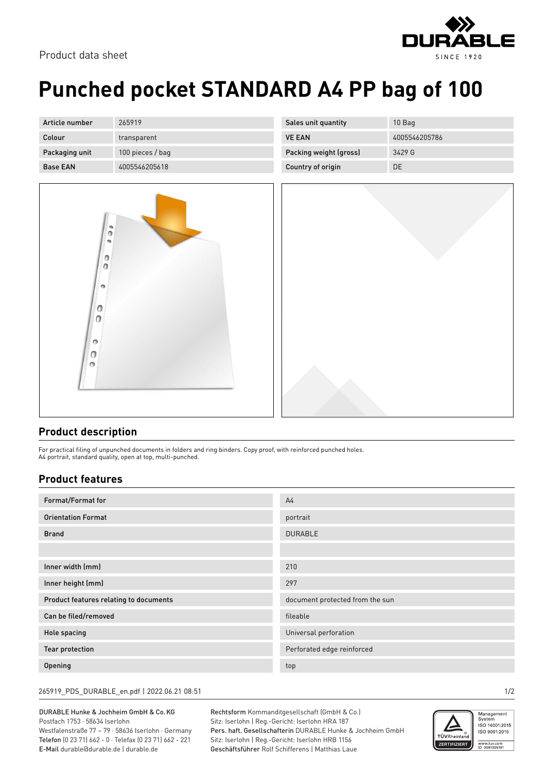

# **Punched pocket STANDARD A4 PP bag of 100**

| Article number  | 265919           | Sales unit quantity    | 10 Bag        |
|-----------------|------------------|------------------------|---------------|
| Colour          | transparent      | <b>VE EAN</b>          | 4005546205786 |
| Packaging unit  | 100 pieces / bag | Packing weight (gross) | 3429 G        |
| <b>Base EAN</b> | 4005546205618    | Country of origin      | DE            |



### **Product description**

For practical filing of unpunched documents in folders and ring binders. Copy proof, with reinforced punched holes. A4 portrait, standard quality, open at top, multi-punched.

### **Product features**

| Format/Format for                      | A <sub>4</sub>                  |  |
|----------------------------------------|---------------------------------|--|
| <b>Orientation Format</b>              | portrait                        |  |
| <b>Brand</b>                           | <b>DURABLE</b>                  |  |
|                                        |                                 |  |
| Inner width (mm)                       | 210                             |  |
| Inner height (mm)                      | 297                             |  |
| Product features relating to documents | document protected from the sun |  |
| Can be filed/removed                   | fileable                        |  |
| Hole spacing                           | Universal perforation           |  |
| Tear protection                        | Perforated edge reinforced      |  |
| Opening                                | top                             |  |

#### 265919\_PDS\_DURABLE\_en.pdf | 2022.06.21 08:51 1/2

DURABLE Hunke & Jochheim GmbH & Co.KG Postfach 1753 · 58634 Iserlohn Westfalenstraße 77 – 79 · 58636 Iserlohn · Germany Telefon (0 23 71) 662 - 0 · Telefax (0 23 71) 662 - 221

E-Mail durable@durable.de | durable.de

Rechtsform Kommanditgesellschaft (GmbH & Co.) Sitz: Iserlohn | Reg.-Gericht: Iserlohn HRA 187 Pers. haft. Gesellschafterin DURABLE Hunke & Jochheim GmbH Sitz: Iserlohn | Reg.-Gericht: Iserlohn HRB 1156 Geschäftsführer Rolf Schifferens | Matthias Laue